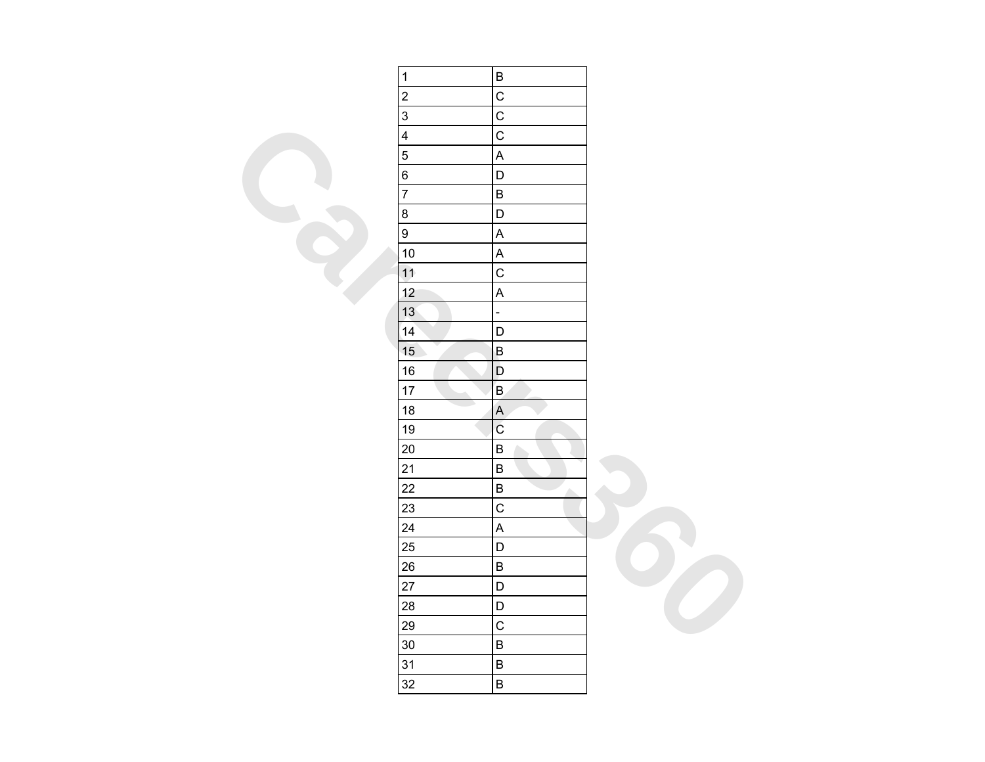| $\mathbf{1}$            | $\sf B$                   |  |
|-------------------------|---------------------------|--|
| $\overline{c}$          | $\mathsf C$               |  |
| $\overline{3}$          | $\overline{C}$            |  |
| $\overline{\mathbf{4}}$ | $\mathsf{C}$              |  |
| 5                       | $\boldsymbol{\mathsf{A}}$ |  |
| 6                       | $\mathsf D$               |  |
| $\overline{7}$          | $\sf B$                   |  |
| $\bf 8$                 | $\mathsf D$               |  |
| $\boldsymbol{9}$        | $\mathsf A$               |  |
| 10                      | $\boldsymbol{\mathsf{A}}$ |  |
| 11                      | $\mathsf C$               |  |
| 12                      | $\boldsymbol{\mathsf{A}}$ |  |
| 13 <sup>°</sup>         | $\Box$                    |  |
| 14                      | D                         |  |
| 15                      | $\sf B$                   |  |
| $16\,$                  | $\mathsf D$               |  |
| 17                      | $\sf B$                   |  |
| 18                      | $\overline{A}$            |  |
| 19                      | $\rm{C}$                  |  |
| 20                      | $\sf B$                   |  |
| 21                      | $\sf B$                   |  |
| 22                      | $\sf B$<br>́              |  |
| 23                      | $\mathsf{C}$              |  |
| 24                      | $\mathsf A$               |  |
| 25                      | $\mathsf D$               |  |
| 26                      | $\sf B$                   |  |
| 27                      | $\mathsf D$               |  |
| 28                      | $\mathsf D$               |  |
| 29                      | $\mathsf C$               |  |
| 30                      | $\sf B$                   |  |
| 31                      | $\sf B$                   |  |
| 32                      | $\sf B$                   |  |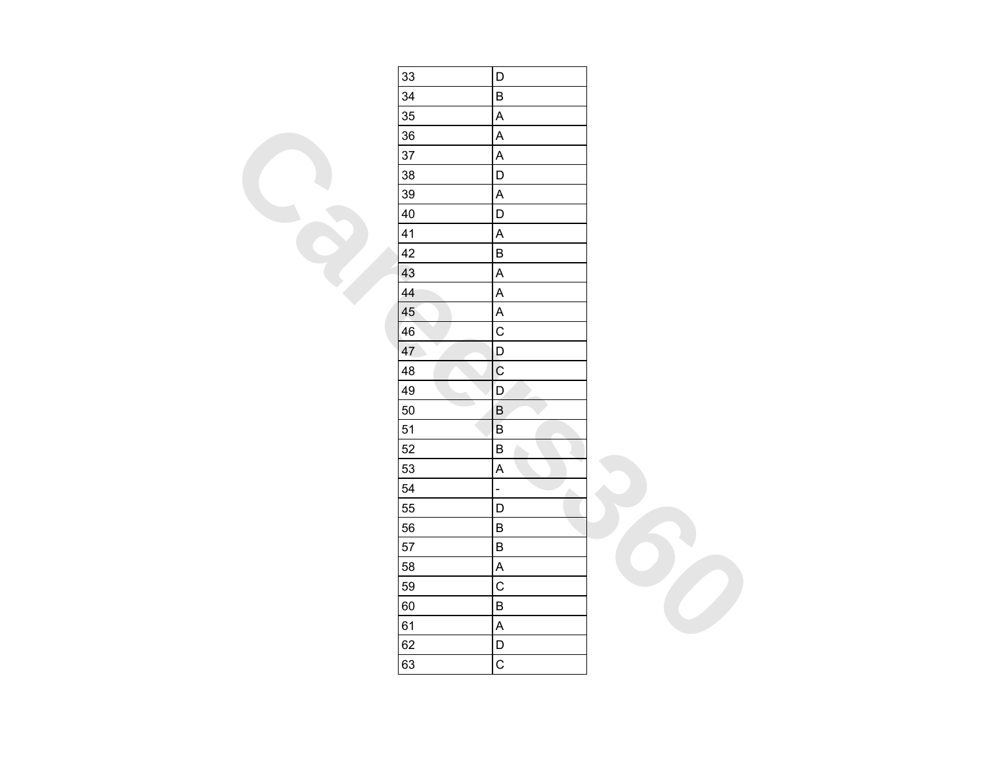| 33                                | D                         |  |
|-----------------------------------|---------------------------|--|
| 34                                | B                         |  |
| 35                                | A                         |  |
| 36                                | A                         |  |
| 37                                | A                         |  |
| 38                                | D                         |  |
| 39                                | $\overline{\mathsf{A}}$   |  |
| 40                                | D                         |  |
| 41                                | A                         |  |
| 42                                | B                         |  |
| 43                                | A                         |  |
| 44                                | $\overline{\mathsf{A}}$   |  |
| 45                                | $\sf A$                   |  |
| 46                                | $\mathsf C$               |  |
| $\mathcal{L}_{\mathcal{A}}$<br>47 | D                         |  |
| 48                                | $\mathbf C$               |  |
| 49                                | D                         |  |
| 50                                | $\sf B$                   |  |
| 51                                | $\sf B$                   |  |
| 52                                | B                         |  |
| 53                                | A                         |  |
| 54                                | $\overline{a}$<br>∼       |  |
| 55                                | D                         |  |
| 56                                | $\sf B$                   |  |
| 57                                | B                         |  |
| 58                                | A                         |  |
| 59                                | $\overline{C}$            |  |
| 60                                | B                         |  |
| 61                                | $\boldsymbol{\mathsf{A}}$ |  |
| 62                                | D                         |  |
| 63                                | $\mathsf C$               |  |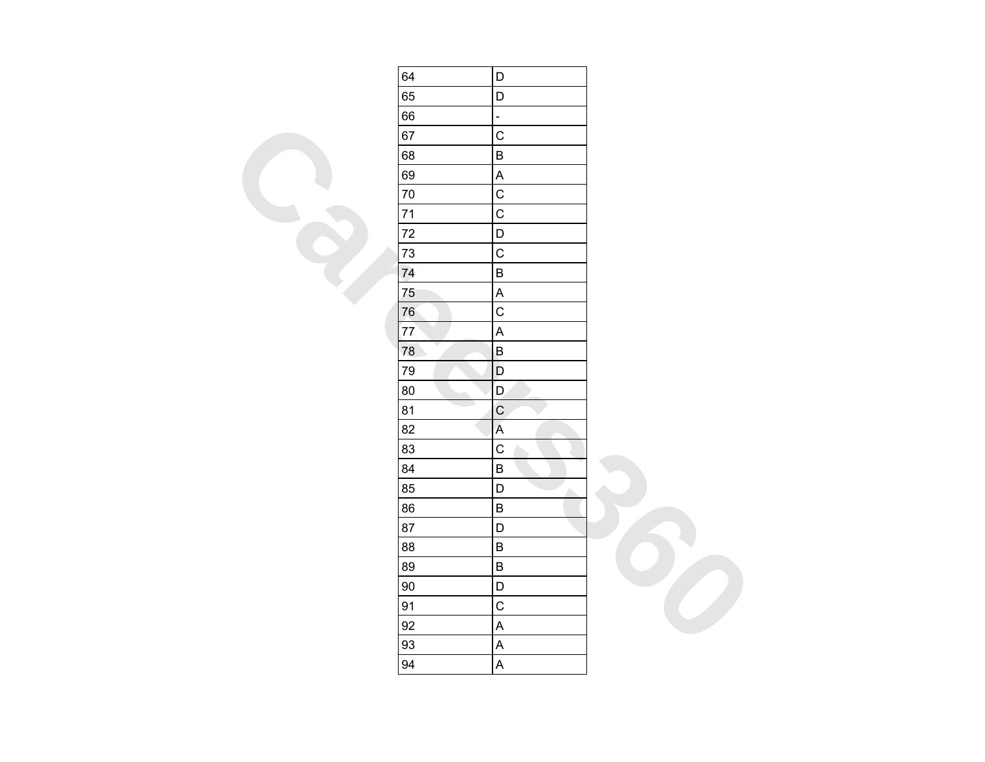| 64     | D                         |  |
|--------|---------------------------|--|
| 65     | $\mathsf D$               |  |
| 66     | ÷,                        |  |
| 67     | $\mathsf C$               |  |
| 68     | $\sf B$                   |  |
| 69     | $\boldsymbol{\mathsf{A}}$ |  |
| 70     | $\mathsf C$               |  |
| 71     | $\mathsf C$               |  |
| 72     | $\mathsf{D}%$             |  |
| 73     | $\mathsf C$               |  |
| 74     | $\sf B$                   |  |
| 75     | $\boldsymbol{\mathsf{A}}$ |  |
| 76     | $\mathsf C$               |  |
| 77     | $\mathsf A$               |  |
| 78     | $\sf B$                   |  |
| 79     | $\mathsf D$               |  |
| 80     | $\mathsf D$               |  |
| 81     | $\mathsf{C}$              |  |
| 82     | $\mathsf A$               |  |
| 83     | $\mathsf C$               |  |
| 84     | $\sf B$                   |  |
| 85     | $\mathsf D$<br>A.         |  |
| 86     | $\sf B$                   |  |
| 87     | $\mathsf D$               |  |
| 88     | $\sf B$                   |  |
| 89     | $\sf B$                   |  |
| $90\,$ | $\mathsf D$               |  |
| 91     | $\mathsf C$               |  |
| 92     | $\sf A$                   |  |
| 93     | $\mathsf{A}$              |  |
| 94     | $\boldsymbol{\mathsf{A}}$ |  |
|        |                           |  |